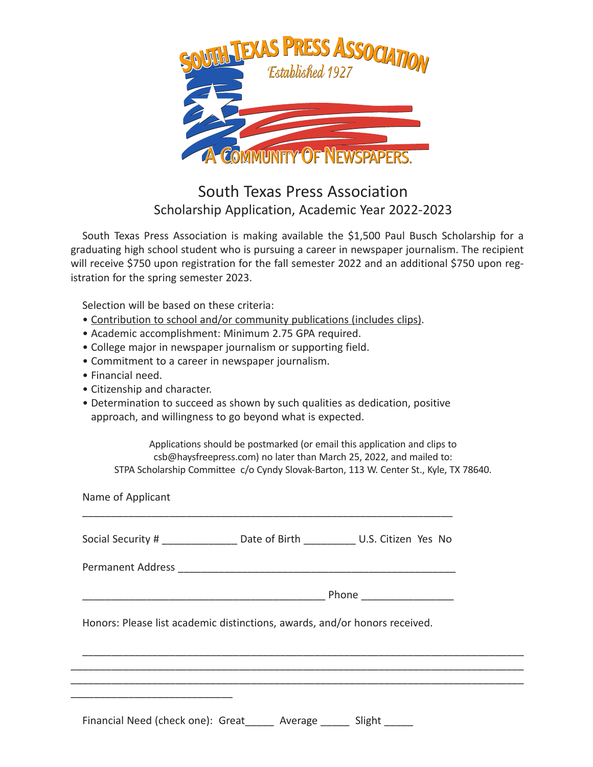

## South Texas Press Association Scholarship Application, Academic Year 2022-2023

South Texas Press Association is making available the \$1,500 Paul Busch Scholarship for a graduating high school student who is pursuing a career in newspaper journalism. The recipient will receive \$750 upon registration for the fall semester 2022 and an additional \$750 upon registration for the spring semester 2023.

Selection will be based on these criteria:

- Contribution to school and/or community publications (includes clips).
- Academic accomplishment: Minimum 2.75 GPA required.
- College major in newspaper journalism or supporting field.
- Commitment to a career in newspaper journalism.
- Financial need.
- Citizenship and character.
- Determination to succeed as shown by such qualities as dedication, positive approach, and willingness to go beyond what is expected.

Applications should be postmarked (or email this application and clips to csb@haysfreepress.com) no later than March 25, 2022, and mailed to: STPA Scholarship Committee c/o Cyndy Slovak-Barton, 113 W. Center St., Kyle, TX 78640.

Name of Applicant \_\_\_\_\_\_\_\_\_\_\_\_\_\_\_\_\_\_\_\_\_\_\_\_\_\_\_\_\_\_\_\_\_\_\_\_\_\_\_\_\_\_\_\_\_\_\_\_\_\_\_\_\_\_\_\_\_\_\_\_\_\_\_\_ Social Security # The Date of Birth The U.S. Citizen Yes No Permanent Address \_\_\_\_\_\_\_\_\_\_\_\_\_\_\_\_\_\_\_\_\_\_\_\_\_\_\_\_\_\_\_\_\_\_\_\_\_\_\_\_\_\_\_\_\_\_\_\_  $\blacksquare$  Phone  $\blacksquare$ Honors: Please list academic distinctions, awards, and/or honors received. \_\_\_\_\_\_\_\_\_\_\_\_\_\_\_\_\_\_\_\_\_\_\_\_\_\_\_\_\_\_\_\_\_\_\_\_\_\_\_\_\_\_\_\_\_\_\_\_\_\_\_\_\_\_\_\_\_\_\_\_\_\_\_\_\_\_\_\_\_\_\_\_\_\_\_\_ \_\_\_\_\_\_\_\_\_\_\_\_\_\_\_\_\_\_\_\_\_\_\_\_\_\_\_\_\_\_\_\_\_\_\_\_\_\_\_\_\_\_\_\_\_\_\_\_\_\_\_\_\_\_\_\_\_\_\_\_\_\_\_\_\_\_\_\_\_\_\_\_\_\_\_\_\_\_ \_\_\_\_\_\_\_\_\_\_\_\_\_\_\_\_\_\_\_\_\_\_\_\_\_\_\_\_\_\_\_\_\_\_\_\_\_\_\_\_\_\_\_\_\_\_\_\_\_\_\_\_\_\_\_\_\_\_\_\_\_\_\_\_\_\_\_\_\_\_\_\_\_\_\_\_\_\_ Financial Need (check one): Great\_\_\_\_\_ Average \_\_\_\_\_ Slight \_\_\_\_\_